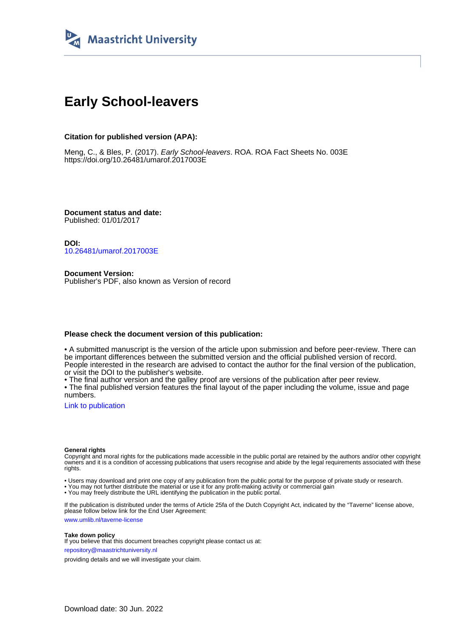

## **Early School-leavers**

#### **Citation for published version (APA):**

Meng, C., & Bles, P. (2017). Early School-leavers. ROA. ROA Fact Sheets No. 003E <https://doi.org/10.26481/umarof.2017003E>

**Document status and date:** Published: 01/01/2017

**DOI:** [10.26481/umarof.2017003E](https://doi.org/10.26481/umarof.2017003E)

**Document Version:** Publisher's PDF, also known as Version of record

#### **Please check the document version of this publication:**

• A submitted manuscript is the version of the article upon submission and before peer-review. There can be important differences between the submitted version and the official published version of record. People interested in the research are advised to contact the author for the final version of the publication, or visit the DOI to the publisher's website.

• The final author version and the galley proof are versions of the publication after peer review.

• The final published version features the final layout of the paper including the volume, issue and page numbers.

[Link to publication](https://cris.maastrichtuniversity.nl/en/publications/13f99fb9-1ac5-4f82-98df-2032a78a8f5e)

#### **General rights**

Copyright and moral rights for the publications made accessible in the public portal are retained by the authors and/or other copyright owners and it is a condition of accessing publications that users recognise and abide by the legal requirements associated with these rights.

• Users may download and print one copy of any publication from the public portal for the purpose of private study or research.

• You may not further distribute the material or use it for any profit-making activity or commercial gain

• You may freely distribute the URL identifying the publication in the public portal.

If the publication is distributed under the terms of Article 25fa of the Dutch Copyright Act, indicated by the "Taverne" license above, please follow below link for the End User Agreement:

www.umlib.nl/taverne-license

#### **Take down policy**

If you believe that this document breaches copyright please contact us at: repository@maastrichtuniversity.nl

providing details and we will investigate your claim.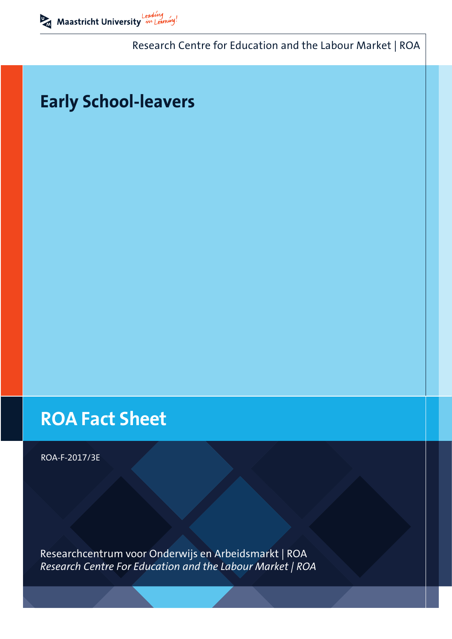Research Centre for Education and the Labour Market | ROA

# **Early School-leavers**

# **ROA Fact Sheet**

ROA-F-2017/3E

Researchcentrum voor Onderwijs en Arbeidsmarkt | ROA *Research Centre For Education and the Labour Market | ROA*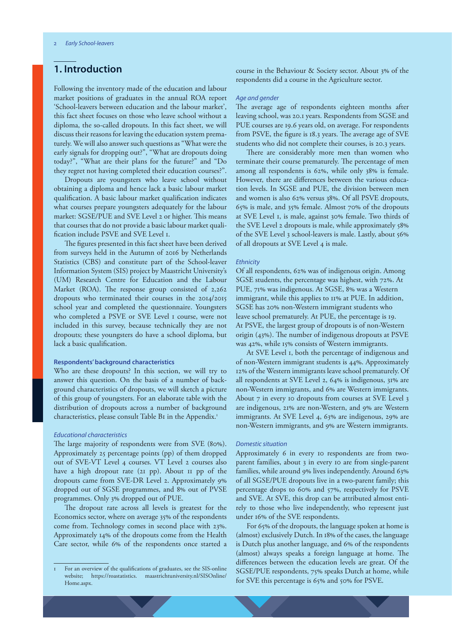## **1. Introduction**

Following the inventory made of the education and labour market positions of graduates in the annual ROA report 'School-leavers between education and the labour market', this fact sheet focuses on those who leave school without a diploma, the so-called dropouts. In this fact sheet, we will discuss their reasons for leaving the education system prematurely. We will also answer such questions as "What were the early signals for dropping out?", "What are dropouts doing today?", "What are their plans for the future?" and "Do they regret not having completed their education courses?".

Dropouts are youngsters who leave school without obtaining a diploma and hence lack a basic labour market qualification. A basic labour market qualification indicates what courses prepare youngsters adequately for the labour market: SGSE/PUE and SVE Level 2 or higher. This means that courses that do not provide a basic labour market qualification include PSVE and SVE Level 1.

The figures presented in this fact sheet have been derived from surveys held in the Autumn of 2016 by Netherlands Statistics (CBS) and constitute part of the School-leaver Information System (SIS) project by Maastricht University's (UM) Research Centre for Education and the Labour Market (ROA). The response group consisted of 2,262 dropouts who terminated their courses in the 2014/2015 school year and completed the questionnaire. Youngsters who completed a PSVE or SVE Level 1 course, were not included in this survey, because technically they are not dropouts; these youngsters do have a school diploma, but lack a basic qualification.

#### **Respondents' background characteristics**

Who are these dropouts? In this section, we will try to answer this question. On the basis of a number of background characteristics of dropouts, we will sketch a picture of this group of youngsters. For an elaborate table with the distribution of dropouts across a number of background characteristics, please consult Table B1 in the Appendix.<sup>1</sup>

#### *Educational characteristics*

The large majority of respondents were from SVE (80%). Approximately 25 percentage points (pp) of them dropped out of SVE-VT Level 4 courses. VT Level 2 courses also have a high dropout rate (21 pp). About 11 pp of the dropouts came from SVE-DR Level 2. Approximately 9% dropped out of SGSE programmes, and 8% out of PVSE programmes. Only 3% dropped out of PUE.

The dropout rate across all levels is greatest for the Economics sector, where on average 35% of the respondents come from. Technology comes in second place with 23%. Approximately 14% of the dropouts come from the Health Care sector, while 6% of the respondents once started a course in the Behaviour & Society sector. About 3% of the respondents did a course in the Agriculture sector.

#### *Age and gender*

The average age of respondents eighteen months after leaving school, was 20.1 years. Respondents from SGSE and PUE courses are 19.6 years old, on average. For respondents from PSVE, the figure is 18.3 years. The average age of SVE students who did not complete their courses, is 20.3 years.

There are considerably more men than women who terminate their course prematurely. The percentage of men among all respondents is 62%, while only 38% is female. However, there are differences between the various education levels. In SGSE and PUE, the division between men and women is also 62% versus 38%. Of all PSVE dropouts, 65% is male, and 35% female. Almost 70% of the dropouts at SVE Level 1, is male, against 30% female. Two thirds of the SVE Level 2 dropouts is male, while approximately 58% of the SVE Level 3 school-leavers is male. Lastly, about 56% of all dropouts at SVE Level 4 is male.

#### *Ethnicity*

Of all respondents, 62% was of indigenous origin. Among SGSE students, the percentage was highest, with 72%. At PUE, 71% was indigenous. At SGSE, 8% was a Western immigrant, while this applies to 11% at PUE. In addition, SGSE has 20% non-Western immigrant students who leave school prematurely. At PUE, the percentage is 19. At PSVE, the largest group of dropouts is of non-Western origin (43%). The number of indigenous dropouts at PSVE was 42%, while 15% consists of Western immigrants.

At SVE Level 1, both the percentage of indigenous and of non-Western immigrant students is 44%. Approximately 12% of the Western immigrants leave school prematurely. Of all respondents at SVE Level 2, 64% is indigenous, 31% are non-Western immigrants, and 6% are Western immigrants. About 7 in every 10 dropouts from courses at SVE Level 3 are indigenous, 21% are non-Western, and 9% are Western immigrants. At SVE Level 4, 63% are indigenous, 29% are non-Western immigrants, and 9% are Western immigrants.

#### *Domestic situation*

Approximately 6 in every 10 respondents are from twoparent families, about 3 in every 10 are from single-parent families, while around 9% lives independently. Around 63% of all SGSE/PUE dropouts live in a two-parent family; this percentage drops to 60% and 57%, respectively for PSVE and SVE. At SVE, this drop can be attributed almost entirely to those who live independently, who represent just under 16% of the SVE respondents.

For 65% of the dropouts, the language spoken at home is (almost) exclusively Dutch. In 18% of the cases, the language is Dutch plus another language, and 6% of the respondents (almost) always speaks a foreign language at home. The differences between the education levels are great. Of the SGSE/PUE respondents, 75% speaks Dutch at home, while for SVE this percentage is 65% and 50% for PSVE.

<sup>1</sup> For an overview of the qualifications of graduates, see the SIS-online website; https://roastatistics. maastrichtuniversity.nl/SISOnline/ Home.aspx.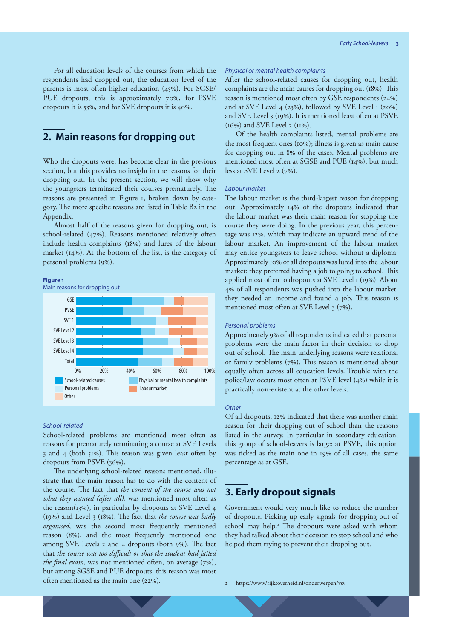For all education levels of the courses from which the respondents had dropped out, the education level of the parents is most often higher education (45%). For SGSE/ PUE dropouts, this is approximately 70%, for PSVE dropouts it is 53%, and for SVE dropouts it is 40%.

## **2. Main reasons for dropping out**

Who the dropouts were, has become clear in the previous section, but this provides no insight in the reasons for their dropping out. In the present section, we will show why the youngsters terminated their courses prematurely. The reasons are presented in Figure 1, broken down by category. The more specific reasons are listed in Table B2 in the Appendix.

Almost half of the reasons given for dropping out, is school-related (47%). Reasons mentioned relatively often include health complaints (18%) and lures of the labour market (14%). At the bottom of the list, is the category of personal problems (9%).

#### **Figure 1**



#### *School-related*

School-related problems are mentioned most often as reasons for prematurely terminating a course at SVE Levels 3 and 4 (both 51%). This reason was given least often by dropouts from PSVE (36%).

The underlying school-related reasons mentioned, illustrate that the main reason has to do with the content of the course. The fact that *the content of the course was not what they wanted (after all)*, was mentioned most often as the reason(13%), in particular by dropouts at SVE Level 4 (19%) and Level 3 (18%). The fact that *the course was badly organised*, was the second most frequently mentioned reason (8%), and the most frequently mentioned one among SVE Levels 2 and 4 dropouts (both 9%). The fact that *the course was too difficult or that the student had failed the final exam*, was not mentioned often, on average (7%), but among SGSE and PUE dropouts, this reason was most often mentioned as the main one (22%).

#### *Physical or mental health complaints*

After the school-related causes for dropping out, health complaints are the main causes for dropping out (18%). This reason is mentioned most often by GSE respondents (24%) and at SVE Level 4 (23%), followed by SVE Level 1 (20%) and SVE Level 3 (19%). It is mentioned least often at PSVE (16%) and SVE Level 2 (11%).

Of the health complaints listed, mental problems are the most frequent ones (10%); illness is given as main cause for dropping out in 8% of the cases. Mental problems are mentioned most often at SGSE and PUE (14%), but much less at SVE Level 2 (7%).

#### *Labour market*

The labour market is the third-largest reason for dropping out. Approximately 14% of the dropouts indicated that the labour market was their main reason for stopping the course they were doing. In the previous year, this percentage was 12%, which may indicate an upward trend of the labour market. An improvement of the labour market may entice youngsters to leave school without a diploma. Approximately 10% of all dropouts was lured into the labour market: they preferred having a job to going to school. This applied most often to dropouts at SVE Level 1 (19%). About 4% of all respondents was pushed into the labour market: they needed an income and found a job. This reason is mentioned most often at SVE Level 3 (7%).

#### *Personal problems*

Approximately 9% of all respondents indicated that personal problems were the main factor in their decision to drop out of school. The main underlying reasons were relational or family problems (7%). This reason is mentioned about equally often across all education levels. Trouble with the police/law occurs most often at PSVE level (4%) while it is practically non-existent at the other levels.

#### *Other*

Of all dropouts, 12% indicated that there was another main reason for their dropping out of school than the reasons listed in the survey. In particular in secondary education, this group of school-leavers is large: at PSVE, this option was ticked as the main one in 19% of all cases, the same percentage as at GSE.

## **3. Early dropout signals**

Government would very much like to reduce the number of dropouts. Picking up early signals for dropping out of school may help.<sup>2</sup> The dropouts were asked with whom they had talked about their decision to stop school and who helped them trying to prevent their dropping out.

2 https://www/rijksoverheid.nl/onderwerpen/vsv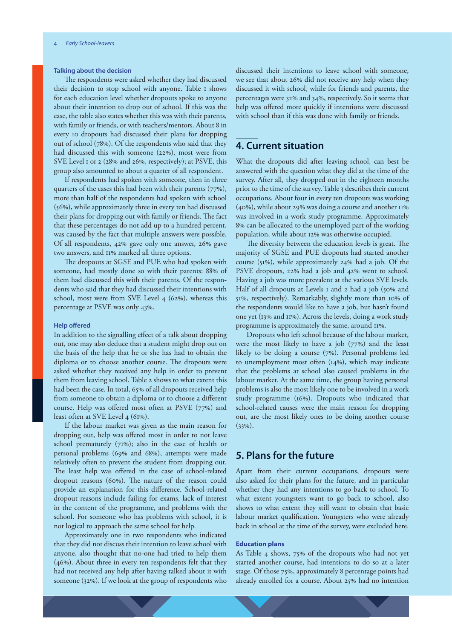#### **Talking about the decision**

The respondents were asked whether they had discussed their decision to stop school with anyone. Table 1 shows for each education level whether dropouts spoke to anyone about their intention to drop out of school. If this was the case, the table also states whether this was with their parents, with family or friends, or with teachers/mentors. About 8 in every 10 dropouts had discussed their plans for dropping out of school (78%). Of the respondents who said that they had discussed this with someone (22%), most were from SVE Level 1 or 2 (28% and 26%, respectively); at PSVE, this group also amounted to about a quarter of all respondent.

If respondents had spoken with someone, then in three quarters of the cases this had been with their parents (77%), more than half of the respondents had spoken with school (56%), while approximately three in every ten had discussed their plans for dropping out with family or friends. The fact that these percentages do not add up to a hundred percent, was caused by the fact that multiple answers were possible. Of all respondents, 42% gave only one answer, 26% gave two answers, and 11% marked all three options.

The dropouts at SGSE and PUE who had spoken with someone, had mostly done so with their parents: 88% of them had discussed this with their parents. Of the respondents who said that they had discussed their intentions with school, most were from SVE Level 4 (62%), whereas this percentage at PSVE was only 43%.

#### **Help offered**

In addition to the signalling effect of a talk about dropping out, one may also deduce that a student might drop out on the basis of the help that he or she has had to obtain the diploma or to choose another course. The dropouts were asked whether they received any help in order to prevent them from leaving school. Table 2 shows to what extent this had been the case. In total, 65% of all dropouts received help from someone to obtain a diploma or to choose a different course. Help was offered most often at PSVE (77%) and least often at SVE Level 4 (61%).

If the labour market was given as the main reason for dropping out, help was offered most in order to not leave school prematurely (71%); also in the case of health or personal problems (69% and 68%), attempts were made relatively often to prevent the student from dropping out. The least help was offered in the case of school-related dropout reasons (60%). The nature of the reason could provide an explanation for this difference. School-related dropout reasons include failing for exams, lack of interest in the content of the programme, and problems with the school. For someone who has problems with school, it is not logical to approach the same school for help.

Approximately one in two respondents who indicated that they did not discuss their intention to leave school with anyone, also thought that no-one had tried to help them (46%). About three in every ten respondents felt that they had not received any help after having talked about it with someone (32%). If we look at the group of respondents who

discussed their intentions to leave school with someone, we see that about 26% did not receive any help when they discussed it with school, while for friends and parents, the percentages were 32% and 34%, respectively. So it seems that help was offered more quickly if intentions were discussed with school than if this was done with family or friends.

## **4. Current situation**

What the dropouts did after leaving school, can best be answered with the question what they did at the time of the survey. After all, they dropped out in the eighteen months prior to the time of the survey. Table 3 describes their current occupations. About four in every ten dropouts was working (40%), while about 29% was doing a course and another 11% was involved in a work study programme. Approximately 8% can be allocated to the unemployed part of the working population, while about 12% was otherwise occupied.

The diversity between the education levels is great. The majority of SGSE and PUE dropouts had started another course (51%), while approximately 24% had a job. Of the PSVE dropouts, 22% had a job and 42% went to school. Having a job was more prevalent at the various SVE levels. Half of all dropouts at Levels I and 2 had a job (50% and 51%, respectively). Remarkably, slightly more than 10% of the respondents would like to have a job, but hasn't found one yet (13% and 11%). Across the levels, doing a work study programme is approximately the same, around 11%.

Dropouts who left school because of the labour market, were the most likely to have a job (77%) and the least likely to be doing a course (7%). Personal problems led to unemployment most often (14%), which may indicate that the problems at school also caused problems in the labour market. At the same time, the group having personal problems is also the most likely one to be involved in a work study programme (16%). Dropouts who indicated that school-related causes were the main reason for dropping out, are the most likely ones to be doing another course  $(33\%)$ .

## **5. Plans for the future**

Apart from their current occupations, dropouts were also asked for their plans for the future, and in particular whether they had any intentions to go back to school. To what extent youngsters want to go back to school, also shows to what extent they still want to obtain that basic labour market qualification. Youngsters who were already back in school at the time of the survey, were excluded here.

#### **Education plans**

As Table 4 shows, 75% of the dropouts who had not yet started another course, had intentions to do so at a later stage. Of those 75%, approximately 8 percentage points had already enrolled for a course. About 25% had no intention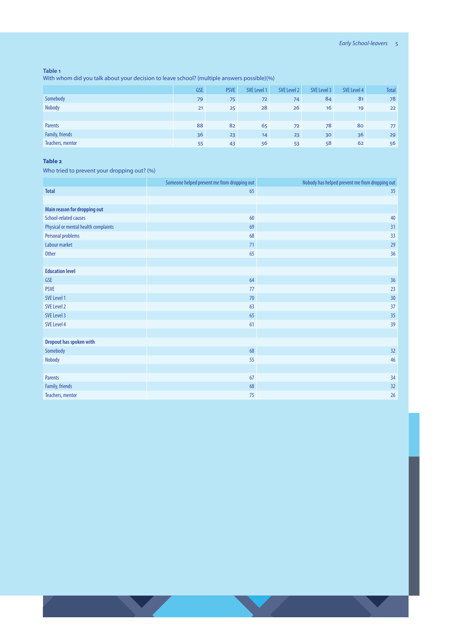#### **Table 1**

With whom did you talk about your decision to leave school? (multiple answers possible)(%)

|                  | <b>GSE</b> | <b>PSVE</b> | SVE Level 1 | SVE Level 2 | SVE Level 3 | SVE Level 4 | <b>Total</b> |
|------------------|------------|-------------|-------------|-------------|-------------|-------------|--------------|
| Somebody         | 79         | 75          | 72          | 74          | 84          | 81          | 78           |
| Nobody           | 21         | 25          | 28          | 26          | 16          | 19          | 22           |
|                  |            |             |             |             |             |             |              |
| Parents          | 88         | 82          | 65          | 72          | 78          | 80          | 77           |
| Family, friends  | 36         | 23          | 14          | 23          | 30          | 36          | 29           |
| Teachers, mentor | 55         | 43          | 56          | 53          | 58          | 62          | 56           |

### **Table 2**

Who tried to prevent your dropping out? (%)

|                                      | Someone helped prevent me from dropping out | Nobody has helped prevent me from dropping out |
|--------------------------------------|---------------------------------------------|------------------------------------------------|
| <b>Total</b>                         | 65                                          | 35                                             |
|                                      |                                             |                                                |
| Main reason for dropping out         |                                             |                                                |
| School-related causes                | 60                                          | 40                                             |
| Physical or mental health complaints | 69                                          | 31                                             |
| Personal problems                    | 68                                          | 33                                             |
| Labour market                        | 71                                          | 29                                             |
| <b>Other</b>                         | 65                                          | 36                                             |
|                                      |                                             |                                                |
| <b>Education level</b>               |                                             |                                                |
| <b>GSE</b>                           | 64                                          | 36                                             |
| <b>PSVE</b>                          | 77                                          | 23                                             |
| SVE Level 1                          | 70                                          | 30                                             |
| SVE Level 2                          | 63                                          | 37                                             |
| SVE Level 3                          | 65                                          | 35                                             |
| SVE Level 4                          | 61                                          | 39                                             |
|                                      |                                             |                                                |
| Dropout has spoken with              |                                             |                                                |
| Somebody                             | 68                                          | 32                                             |
| Nobody                               | 55                                          | 46                                             |
|                                      |                                             |                                                |
| <b>Parents</b>                       | 67                                          | 34                                             |
| Family, friends                      | 68                                          | 32                                             |
| Teachers, mentor                     | 75                                          | 26                                             |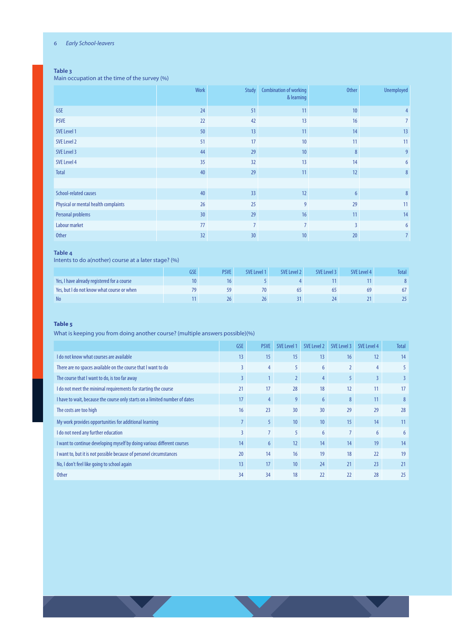#### 6 *Early School-leavers*

#### **Table 3**

Main occupation at the time of the survey (%)

|                                      | Work            | Study           | <b>Combination of working</b><br>& learning | <b>Other</b> | <b>Unemployed</b> |
|--------------------------------------|-----------------|-----------------|---------------------------------------------|--------------|-------------------|
| <b>GSE</b>                           | 24              | 51              | 11                                          | 10           | 4                 |
| <b>PSVE</b>                          | 22              | 42              | 13                                          | 16           |                   |
| SVE Level 1                          | 50              | 13              | 11                                          | 14           | 13                |
| SVE Level 2                          | 51              | 17              | 10                                          | 11           | 11                |
| SVE Level 3                          | 44              | 29              | 10                                          | 8            | $\overline{9}$    |
| SVE Level 4                          | 35              | 32              | 13                                          | 14           | 6                 |
| <b>Total</b>                         | 40              | 29              | 11                                          | 12           | 8 <sup>°</sup>    |
|                                      |                 |                 |                                             |              |                   |
| School-related causes                | 40              | 33              | 12                                          | 6            | 8                 |
| Physical or mental health complaints | 26              | 25              | 9                                           | 29           | 11                |
| Personal problems                    | 30 <sup>°</sup> | 29              | 16                                          | 11           | 14                |
| Labour market                        | 77              | 7               |                                             | 3            | 6                 |
| <b>Other</b>                         | 32              | 30 <sup>°</sup> | 10                                          | 20           | 7                 |

#### **Table 4**

Intents to do a(nother) course at a later stage? (%)

|                                             | GSE | <b>PSVE</b> | SVE Level 1 | SVE Level 2 | SVE Level 3 | <b>SVE Level 4</b> | Total    |
|---------------------------------------------|-----|-------------|-------------|-------------|-------------|--------------------|----------|
| Yes, I have already registered for a course |     |             |             |             |             |                    |          |
| Yes, but I do not know what course or when  |     |             |             | כס          |             | 69                 | $\sigma$ |
| <b>No</b>                                   |     |             | 26          |             |             |                    |          |

#### **Table 5**

What is keeping you from doing another course? (multiple answers possible)(%)

|                                                                             | <b>GSE</b>     | <b>PSVE</b>      | SVE Level 1     | SVE Level 2     | SVE Level 3    | SVE Level 4    | Total          |
|-----------------------------------------------------------------------------|----------------|------------------|-----------------|-----------------|----------------|----------------|----------------|
| I do not know what courses are available                                    | 13             | 15               | 15              | 13              | 16             | 12             | 14             |
| There are no spaces available on the course that I want to do               | 3              | 4                | 5               | 6               | $\overline{2}$ | 4              | 5              |
| The course that I want to do, is too far away                               | $\overline{3}$ |                  |                 | 4               | 5              | $\overline{3}$ | $\overline{3}$ |
| I do not meet the minimal requirements for starting the course              | 21             | 17               | 28              | 18              | 12             | 11             | 17             |
| I have to wait, because the course only starts on a limited number of dates | 17             | 4                | $\overline{9}$  | 6               | 8              | 11             | 8              |
| The costs are too high                                                      | 16             | 23               | 30              | 30 <sup>°</sup> | 29             | 29             | 28             |
| My work provides opportunities for additional learning                      | $\overline{7}$ | 5                | 10 <sup>°</sup> | 10              | 15             | 14             | 11             |
| I do not need any further education                                         | 3              | $\overline{7}$   |                 | 6               |                | 6              | 6              |
| I want to continue developing myself by doing various different courses     | 14             | $6 \overline{6}$ | 12              | 14              | 14             | 19             | 14             |
| I want to, but it is not possible because of personel circumstances         | 20             | 14               | 16              | 19              | 18             | 22             | 19             |
| No, I don't feel like going to school again                                 | 13             | 17               | 10 <sup>°</sup> | 24              | 21             | 23             | 21             |
| <b>Other</b>                                                                | 34             | 34               | 18              | 22              | 22             | 28             | 25             |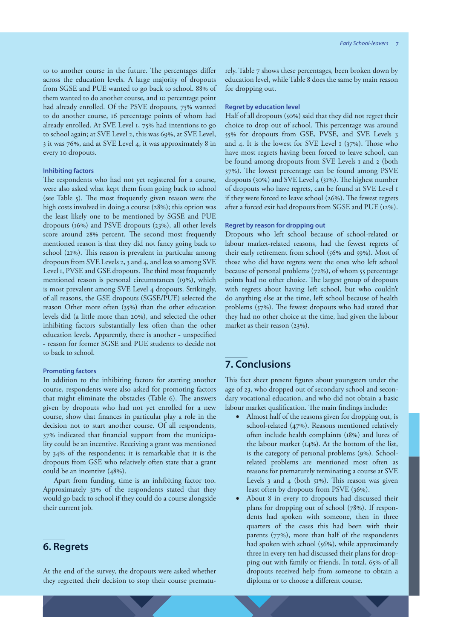to to another course in the future. The percentages differ across the education levels. A large majority of dropouts from SGSE and PUE wanted to go back to school. 88% of them wanted to do another course, and 10 percentage point had already enrolled. Of the PSVE dropouts, 75% wanted to do another course, 16 percentage points of whom had already enrolled. At SVE Level 1, 75% had intentions to go to school again; at SVE Level 2, this was 69%, at SVE Level, 3 it was 76%, and at SVE Level 4, it was approximately 8 in every 10 dropouts.

#### **Inhibiting factors**

The respondents who had not yet registered for a course, were also asked what kept them from going back to school (see Table 5). The most frequently given reason were the high costs involved in doing a course (28%); this option was the least likely one to be mentioned by SGSE and PUE dropouts (16%) and PSVE dropouts (23%), all other levels score around 28% percent. The second most frequently mentioned reason is that they did not fancy going back to school (21%). This reason is prevalent in particular among dropouts from SVE Levels 2, 3 and 4, and less so among SVE Level 1, PVSE and GSE dropouts. The third most frequently mentioned reason is personal circumstances (19%), which is most prevalent among SVE Level 4 dropouts. Strikingly, of all reasons, the GSE dropouts (SGSE/PUE) selected the reason Other more often (35%) than the other education levels did (a little more than 20%), and selected the other inhibiting factors substantially less often than the other education levels. Apparently, there is another - unspecified - reason for former SGSE and PUE students to decide not to back to school.

#### **Promoting factors**

In addition to the inhibiting factors for starting another course, respondents were also asked for promoting factors that might eliminate the obstacles (Table 6). The answers given by dropouts who had not yet enrolled for a new course, show that finances in particular play a role in the decision not to start another course. Of all respondents, 37% indicated that financial support from the municipality could be an incentive. Receiving a grant was mentioned by 34% of the respondents; it is remarkable that it is the dropouts from GSE who relatively often state that a grant could be an incentive (48%).

Apart from funding, time is an inhibiting factor too. Approximately 31% of the respondents stated that they would go back to school if they could do a course alongside their current job.

### **6. Regrets**

At the end of the survey, the dropouts were asked whether they regretted their decision to stop their course prematu-

rely. Table 7 shows these percentages, been broken down by education level, while Table 8 does the same by main reason for dropping out.

#### **Regret by education level**

Half of all dropouts (50%) said that they did not regret their choice to drop out of school. This percentage was around 55% for dropouts from GSE, PVSE, and SVE Levels 3 and 4. It is the lowest for SVE Level 1 (37%). Those who have most regrets having been forced to leave school, can be found among dropouts from SVE Levels 1 and 2 (both 37%). The lowest percentage can be found among PSVE dropouts (30%) and SVE Level 4 (31%). The highest number of dropouts who have regrets, can be found at SVE Level 1 if they were forced to leave school (26%). The fewest regrets after a forced exit had dropouts from SGSE and PUE (12%).

#### **Regret by reason for dropping out**

Dropouts who left school because of school-related or labour market-related reasons, had the fewest regrets of their early retirement from school (56% and 59%). Most of those who did have regrets were the ones who left school because of personal problems (72%), of whom 55 percentage points had no other choice. The largest group of dropouts with regrets about having left school, but who couldn't do anything else at the time, left school because of health problems (57%). The fewest dropouts who had stated that they had no other choice at the time, had given the labour market as their reason (23%).

## **7. Conclusions**

This fact sheet present figures about youngsters under the age of 23, who dropped out of secondary school and secondary vocational education, and who did not obtain a basic labour market qualification. The main findings include:

- Almost half of the reasons given for dropping out, is school-related (47%). Reasons mentioned relatively often include health complaints (18%) and lures of the labour market (14%). At the bottom of the list, is the category of personal problems (9%). Schoolrelated problems are mentioned most often as reasons for prematurely terminating a course at SVE Levels  $3$  and  $4$  (both  $51\%$ ). This reason was given least often by dropouts from PSVE (36%).
- About 8 in every 10 dropouts had discussed their plans for dropping out of school (78%). If respondents had spoken with someone, then in three quarters of the cases this had been with their parents (77%), more than half of the respondents had spoken with school (56%), while approximately three in every ten had discussed their plans for dropping out with family or friends. In total, 65% of all dropouts received help from someone to obtain a diploma or to choose a different course.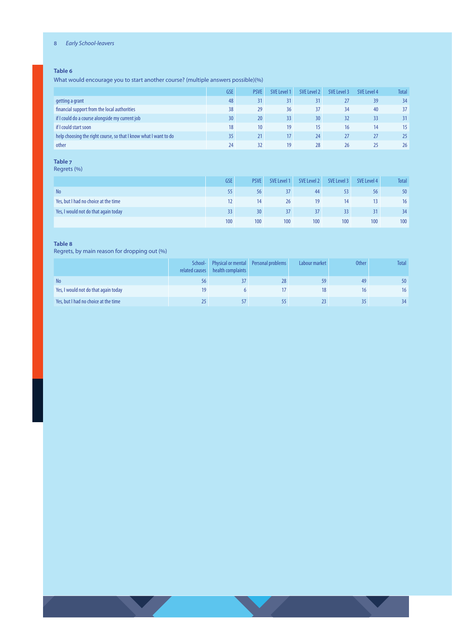#### 8 *Early School-leavers*

#### **Table 6**

What would encourage you to start another course? (multiple answers possible)(%)

|                                                                  | <b>GSE</b>      | <b>PSVE</b> | SVE Level 1 | SVE Level 2     | SVE Level 3 | SVE Level 4 | <b>Total</b> |
|------------------------------------------------------------------|-----------------|-------------|-------------|-----------------|-------------|-------------|--------------|
| getting a grant                                                  | 48              | 31          | 31          | 31              |             | 39          | 34           |
| financial support from the local authorities                     | 38              | 29          | 36          | 37              | 34          | 40          | 37           |
| if I could do a course alongside my current job                  | 30 <sup>°</sup> | 20          | 33          | 30 <sup>°</sup> | 32          | 33          | 31           |
| if I could start soon                                            | 18              | 10          | 19          | 15              | 16          | 14          | 15           |
| help choosing the right course, so that I know what I want to do | 35              | 21          | 17          | 24              | 27          | 27          | 25           |
| other                                                            | 24              | 32          | 19          | 28              | 26          | 25          | 26           |

**Table 7**

Regrets (%)

|                                      | <b>GSE</b>      | <b>PSVE</b>     | SVE Level 1 | SVE Level 2 | SVE Level 3 | SVE Level 4 | <b>Total</b> |
|--------------------------------------|-----------------|-----------------|-------------|-------------|-------------|-------------|--------------|
| <b>No</b>                            | 55              | 56              |             | 44          |             | 56          | 50           |
| Yes, but I had no choice at the time |                 | 14              | 26          | 19          | 14          |             | 16           |
| Yes, I would not do that again today | 33 <sup>2</sup> | 30 <sup>°</sup> | 37          | 37          |             |             | 34           |
|                                      | 100             | 100             | 100         | 100         | 100         | 100         | 100          |

#### **Table 8**

Regrets, by main reason for dropping out (%)

|                                      | School-<br>related causes | health complaints | Physical or mental Personal problems | Labour market | <b>Other</b> | <b>Total</b> |
|--------------------------------------|---------------------------|-------------------|--------------------------------------|---------------|--------------|--------------|
| <b>No</b>                            |                           |                   | 28                                   |               | 49           | 50           |
| Yes, I would not do that again today |                           |                   |                                      |               |              | 16           |
| Yes, but I had no choice at the time |                           |                   |                                      |               |              | 34           |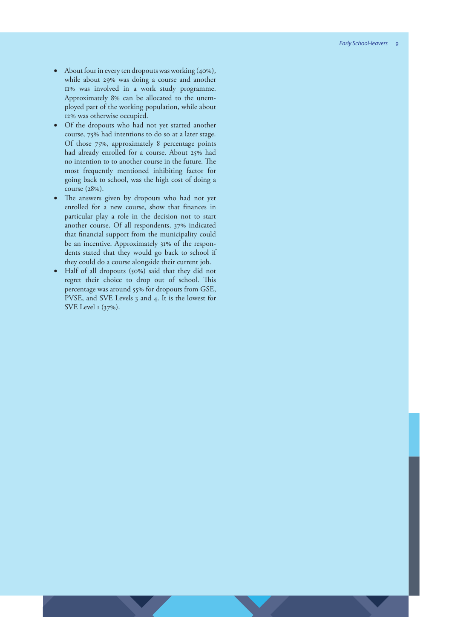- About four in every ten dropouts was working (40%), while about 29% was doing a course and another 11% was involved in a work study programme. Approximately 8% can be allocated to the unem ployed part of the working population, while about 12% was otherwise occupied.
- Of the dropouts who had not yet started another course, 75% had intentions to do so at a later stage. Of those 75%, approximately 8 percentage points had already enrolled for a course. About 25% had no intention to to another course in the future. The most frequently mentioned inhibiting factor for going back to school, was the high cost of doing a course (28%).
- The answers given by dropouts who had not yet enrolled for a new course, show that finances in particular play a role in the decision not to start another course. Of all respondents, 37% indicated that financial support from the municipality could be an incentive. Approximately 31% of the respon dents stated that they would go back to school if they could do a course alongside their current job.
- Half of all dropouts (50%) said that they did not regret their choice to drop out of school. This percentage was around 55% for dropouts from GSE, PVSE, and SVE Levels 3 and 4. It is the lowest for SVE Level 1 (37%).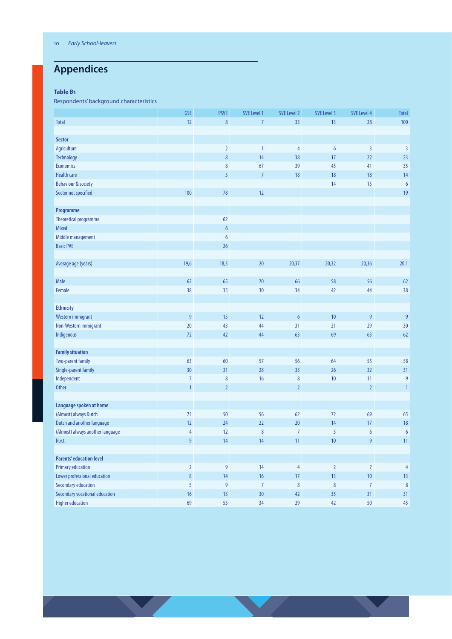## **Appendices**

#### **Table B1**

Respondents' background characteristics

| 12<br>$\bf 8$<br>33<br>13<br>100<br><b>Total</b><br>$\overline{7}$<br>28<br><b>Sector</b><br>Agriculture<br>$\overline{2}$<br>$\overline{3}$<br>$\overline{\mathbf{3}}$<br>$\overline{4}$<br>$6\,$<br>$\mathbf{1}$<br>$\bf 8$<br>17<br>22<br>23<br>Technology<br>14<br>38<br><b>Economics</b><br>35<br>$\bf 8$<br>67<br>39<br>45<br>41<br><b>Health care</b><br>5<br>$\overline{7}$<br>18<br>18<br>18<br>14<br>14<br>15<br>Behaviour & society<br>$\boldsymbol{6}$<br>100<br>$78\,$<br>12<br>19<br>Sector not specified<br>Programme<br><b>Theoretical programme</b><br>62<br>$\boldsymbol{6}$<br>Mixed<br>Middle management<br>$6\,$<br><b>Basic PVE</b><br>26<br>19,6<br>18,3<br>20<br>20,37<br>20,32<br>20,36<br>20,1<br>Average age (years)<br>Male<br>62<br>65<br>$70$<br>66<br>58<br>56<br>62<br>Female<br>38<br>38<br>35<br>30<br>34<br>42<br>44<br><b>Ethnicity</b><br>9<br>$\boldsymbol{6}$<br>$10$<br>$\overline{9}$<br>$\overline{9}$<br>15<br>12<br>Western immigrant<br>20<br>29<br>30<br>Non-Western immigrant<br>43<br>44<br>31<br>21<br>69<br>72<br>42<br>44<br>63<br>63<br>62<br>Indigenous<br><b>Family situation</b><br><b>Two-parent family</b><br>63<br>57<br>58<br>60<br>56<br>64<br>55<br>Single-parent family<br>30<br>31<br>28<br>35<br>26<br>32<br>31<br>Independent<br>$\overline{9}$<br>$\overline{7}$<br>$\bf 8$<br>16<br>$\bf 8$<br>10<br>11<br>$\overline{2}$<br>$\overline{2}$<br><b>Other</b><br>$\mathbf{1}$<br>$\overline{2}$<br>$\mathbf{1}$<br>Language spoken at home<br>(Almost) always Dutch<br>75<br>69<br>65<br>50<br>56<br>62<br>72<br>Dutch and another language<br>12<br>24<br>22<br>20<br>14<br>17<br>18<br>$\boldsymbol{8}$<br>$\overline{7}$<br>5<br>(Almost) always another language<br>4<br>12<br>$\boldsymbol{6}$<br>$\boldsymbol{6}$<br>9<br>14<br>14<br>11<br>10<br>9<br>11<br>N.v.t.<br><b>Parents' education level</b><br>$9\,$<br><b>Primary education</b><br>$\overline{2}$<br>14<br>$\overline{4}$<br>$\overline{2}$<br>$\overline{2}$<br>$\overline{4}$<br>8<br>10 <sub>1</sub><br>Lower professional education<br>14<br>$16\,$<br>$17\phantom{.0}$<br>13<br>13<br><b>Secondary education</b><br>5<br>$\overline{9}$<br>$\overline{7}$<br>$\bf 8$<br>$\bf 8$<br>$\overline{7}$<br>$\boldsymbol{8}$<br>Secondary vocational education<br>16<br>35 <sub>2</sub><br>15<br>$30\,$<br>42<br>31<br>31 |                         | GSE | <b>PSVE</b> | SVE Level 1 | <b>SVE Level 2</b> | SVE Level 3 | SVE Level 4 | <b>Total</b> |
|------------------------------------------------------------------------------------------------------------------------------------------------------------------------------------------------------------------------------------------------------------------------------------------------------------------------------------------------------------------------------------------------------------------------------------------------------------------------------------------------------------------------------------------------------------------------------------------------------------------------------------------------------------------------------------------------------------------------------------------------------------------------------------------------------------------------------------------------------------------------------------------------------------------------------------------------------------------------------------------------------------------------------------------------------------------------------------------------------------------------------------------------------------------------------------------------------------------------------------------------------------------------------------------------------------------------------------------------------------------------------------------------------------------------------------------------------------------------------------------------------------------------------------------------------------------------------------------------------------------------------------------------------------------------------------------------------------------------------------------------------------------------------------------------------------------------------------------------------------------------------------------------------------------------------------------------------------------------------------------------------------------------------------------------------------------------------------------------------------------------------------------------------------------------------------------------------------------------------------------------------------------------------------------------------------------------------------------------------------|-------------------------|-----|-------------|-------------|--------------------|-------------|-------------|--------------|
|                                                                                                                                                                                                                                                                                                                                                                                                                                                                                                                                                                                                                                                                                                                                                                                                                                                                                                                                                                                                                                                                                                                                                                                                                                                                                                                                                                                                                                                                                                                                                                                                                                                                                                                                                                                                                                                                                                                                                                                                                                                                                                                                                                                                                                                                                                                                                            |                         |     |             |             |                    |             |             |              |
|                                                                                                                                                                                                                                                                                                                                                                                                                                                                                                                                                                                                                                                                                                                                                                                                                                                                                                                                                                                                                                                                                                                                                                                                                                                                                                                                                                                                                                                                                                                                                                                                                                                                                                                                                                                                                                                                                                                                                                                                                                                                                                                                                                                                                                                                                                                                                            |                         |     |             |             |                    |             |             |              |
|                                                                                                                                                                                                                                                                                                                                                                                                                                                                                                                                                                                                                                                                                                                                                                                                                                                                                                                                                                                                                                                                                                                                                                                                                                                                                                                                                                                                                                                                                                                                                                                                                                                                                                                                                                                                                                                                                                                                                                                                                                                                                                                                                                                                                                                                                                                                                            |                         |     |             |             |                    |             |             |              |
|                                                                                                                                                                                                                                                                                                                                                                                                                                                                                                                                                                                                                                                                                                                                                                                                                                                                                                                                                                                                                                                                                                                                                                                                                                                                                                                                                                                                                                                                                                                                                                                                                                                                                                                                                                                                                                                                                                                                                                                                                                                                                                                                                                                                                                                                                                                                                            |                         |     |             |             |                    |             |             |              |
|                                                                                                                                                                                                                                                                                                                                                                                                                                                                                                                                                                                                                                                                                                                                                                                                                                                                                                                                                                                                                                                                                                                                                                                                                                                                                                                                                                                                                                                                                                                                                                                                                                                                                                                                                                                                                                                                                                                                                                                                                                                                                                                                                                                                                                                                                                                                                            |                         |     |             |             |                    |             |             |              |
|                                                                                                                                                                                                                                                                                                                                                                                                                                                                                                                                                                                                                                                                                                                                                                                                                                                                                                                                                                                                                                                                                                                                                                                                                                                                                                                                                                                                                                                                                                                                                                                                                                                                                                                                                                                                                                                                                                                                                                                                                                                                                                                                                                                                                                                                                                                                                            |                         |     |             |             |                    |             |             |              |
|                                                                                                                                                                                                                                                                                                                                                                                                                                                                                                                                                                                                                                                                                                                                                                                                                                                                                                                                                                                                                                                                                                                                                                                                                                                                                                                                                                                                                                                                                                                                                                                                                                                                                                                                                                                                                                                                                                                                                                                                                                                                                                                                                                                                                                                                                                                                                            |                         |     |             |             |                    |             |             |              |
|                                                                                                                                                                                                                                                                                                                                                                                                                                                                                                                                                                                                                                                                                                                                                                                                                                                                                                                                                                                                                                                                                                                                                                                                                                                                                                                                                                                                                                                                                                                                                                                                                                                                                                                                                                                                                                                                                                                                                                                                                                                                                                                                                                                                                                                                                                                                                            |                         |     |             |             |                    |             |             |              |
|                                                                                                                                                                                                                                                                                                                                                                                                                                                                                                                                                                                                                                                                                                                                                                                                                                                                                                                                                                                                                                                                                                                                                                                                                                                                                                                                                                                                                                                                                                                                                                                                                                                                                                                                                                                                                                                                                                                                                                                                                                                                                                                                                                                                                                                                                                                                                            |                         |     |             |             |                    |             |             |              |
|                                                                                                                                                                                                                                                                                                                                                                                                                                                                                                                                                                                                                                                                                                                                                                                                                                                                                                                                                                                                                                                                                                                                                                                                                                                                                                                                                                                                                                                                                                                                                                                                                                                                                                                                                                                                                                                                                                                                                                                                                                                                                                                                                                                                                                                                                                                                                            |                         |     |             |             |                    |             |             |              |
|                                                                                                                                                                                                                                                                                                                                                                                                                                                                                                                                                                                                                                                                                                                                                                                                                                                                                                                                                                                                                                                                                                                                                                                                                                                                                                                                                                                                                                                                                                                                                                                                                                                                                                                                                                                                                                                                                                                                                                                                                                                                                                                                                                                                                                                                                                                                                            |                         |     |             |             |                    |             |             |              |
|                                                                                                                                                                                                                                                                                                                                                                                                                                                                                                                                                                                                                                                                                                                                                                                                                                                                                                                                                                                                                                                                                                                                                                                                                                                                                                                                                                                                                                                                                                                                                                                                                                                                                                                                                                                                                                                                                                                                                                                                                                                                                                                                                                                                                                                                                                                                                            |                         |     |             |             |                    |             |             |              |
|                                                                                                                                                                                                                                                                                                                                                                                                                                                                                                                                                                                                                                                                                                                                                                                                                                                                                                                                                                                                                                                                                                                                                                                                                                                                                                                                                                                                                                                                                                                                                                                                                                                                                                                                                                                                                                                                                                                                                                                                                                                                                                                                                                                                                                                                                                                                                            |                         |     |             |             |                    |             |             |              |
|                                                                                                                                                                                                                                                                                                                                                                                                                                                                                                                                                                                                                                                                                                                                                                                                                                                                                                                                                                                                                                                                                                                                                                                                                                                                                                                                                                                                                                                                                                                                                                                                                                                                                                                                                                                                                                                                                                                                                                                                                                                                                                                                                                                                                                                                                                                                                            |                         |     |             |             |                    |             |             |              |
|                                                                                                                                                                                                                                                                                                                                                                                                                                                                                                                                                                                                                                                                                                                                                                                                                                                                                                                                                                                                                                                                                                                                                                                                                                                                                                                                                                                                                                                                                                                                                                                                                                                                                                                                                                                                                                                                                                                                                                                                                                                                                                                                                                                                                                                                                                                                                            |                         |     |             |             |                    |             |             |              |
|                                                                                                                                                                                                                                                                                                                                                                                                                                                                                                                                                                                                                                                                                                                                                                                                                                                                                                                                                                                                                                                                                                                                                                                                                                                                                                                                                                                                                                                                                                                                                                                                                                                                                                                                                                                                                                                                                                                                                                                                                                                                                                                                                                                                                                                                                                                                                            |                         |     |             |             |                    |             |             |              |
|                                                                                                                                                                                                                                                                                                                                                                                                                                                                                                                                                                                                                                                                                                                                                                                                                                                                                                                                                                                                                                                                                                                                                                                                                                                                                                                                                                                                                                                                                                                                                                                                                                                                                                                                                                                                                                                                                                                                                                                                                                                                                                                                                                                                                                                                                                                                                            |                         |     |             |             |                    |             |             |              |
|                                                                                                                                                                                                                                                                                                                                                                                                                                                                                                                                                                                                                                                                                                                                                                                                                                                                                                                                                                                                                                                                                                                                                                                                                                                                                                                                                                                                                                                                                                                                                                                                                                                                                                                                                                                                                                                                                                                                                                                                                                                                                                                                                                                                                                                                                                                                                            |                         |     |             |             |                    |             |             |              |
|                                                                                                                                                                                                                                                                                                                                                                                                                                                                                                                                                                                                                                                                                                                                                                                                                                                                                                                                                                                                                                                                                                                                                                                                                                                                                                                                                                                                                                                                                                                                                                                                                                                                                                                                                                                                                                                                                                                                                                                                                                                                                                                                                                                                                                                                                                                                                            |                         |     |             |             |                    |             |             |              |
|                                                                                                                                                                                                                                                                                                                                                                                                                                                                                                                                                                                                                                                                                                                                                                                                                                                                                                                                                                                                                                                                                                                                                                                                                                                                                                                                                                                                                                                                                                                                                                                                                                                                                                                                                                                                                                                                                                                                                                                                                                                                                                                                                                                                                                                                                                                                                            |                         |     |             |             |                    |             |             |              |
|                                                                                                                                                                                                                                                                                                                                                                                                                                                                                                                                                                                                                                                                                                                                                                                                                                                                                                                                                                                                                                                                                                                                                                                                                                                                                                                                                                                                                                                                                                                                                                                                                                                                                                                                                                                                                                                                                                                                                                                                                                                                                                                                                                                                                                                                                                                                                            |                         |     |             |             |                    |             |             |              |
|                                                                                                                                                                                                                                                                                                                                                                                                                                                                                                                                                                                                                                                                                                                                                                                                                                                                                                                                                                                                                                                                                                                                                                                                                                                                                                                                                                                                                                                                                                                                                                                                                                                                                                                                                                                                                                                                                                                                                                                                                                                                                                                                                                                                                                                                                                                                                            |                         |     |             |             |                    |             |             |              |
|                                                                                                                                                                                                                                                                                                                                                                                                                                                                                                                                                                                                                                                                                                                                                                                                                                                                                                                                                                                                                                                                                                                                                                                                                                                                                                                                                                                                                                                                                                                                                                                                                                                                                                                                                                                                                                                                                                                                                                                                                                                                                                                                                                                                                                                                                                                                                            |                         |     |             |             |                    |             |             |              |
|                                                                                                                                                                                                                                                                                                                                                                                                                                                                                                                                                                                                                                                                                                                                                                                                                                                                                                                                                                                                                                                                                                                                                                                                                                                                                                                                                                                                                                                                                                                                                                                                                                                                                                                                                                                                                                                                                                                                                                                                                                                                                                                                                                                                                                                                                                                                                            |                         |     |             |             |                    |             |             |              |
|                                                                                                                                                                                                                                                                                                                                                                                                                                                                                                                                                                                                                                                                                                                                                                                                                                                                                                                                                                                                                                                                                                                                                                                                                                                                                                                                                                                                                                                                                                                                                                                                                                                                                                                                                                                                                                                                                                                                                                                                                                                                                                                                                                                                                                                                                                                                                            |                         |     |             |             |                    |             |             |              |
|                                                                                                                                                                                                                                                                                                                                                                                                                                                                                                                                                                                                                                                                                                                                                                                                                                                                                                                                                                                                                                                                                                                                                                                                                                                                                                                                                                                                                                                                                                                                                                                                                                                                                                                                                                                                                                                                                                                                                                                                                                                                                                                                                                                                                                                                                                                                                            |                         |     |             |             |                    |             |             |              |
|                                                                                                                                                                                                                                                                                                                                                                                                                                                                                                                                                                                                                                                                                                                                                                                                                                                                                                                                                                                                                                                                                                                                                                                                                                                                                                                                                                                                                                                                                                                                                                                                                                                                                                                                                                                                                                                                                                                                                                                                                                                                                                                                                                                                                                                                                                                                                            |                         |     |             |             |                    |             |             |              |
|                                                                                                                                                                                                                                                                                                                                                                                                                                                                                                                                                                                                                                                                                                                                                                                                                                                                                                                                                                                                                                                                                                                                                                                                                                                                                                                                                                                                                                                                                                                                                                                                                                                                                                                                                                                                                                                                                                                                                                                                                                                                                                                                                                                                                                                                                                                                                            |                         |     |             |             |                    |             |             |              |
|                                                                                                                                                                                                                                                                                                                                                                                                                                                                                                                                                                                                                                                                                                                                                                                                                                                                                                                                                                                                                                                                                                                                                                                                                                                                                                                                                                                                                                                                                                                                                                                                                                                                                                                                                                                                                                                                                                                                                                                                                                                                                                                                                                                                                                                                                                                                                            |                         |     |             |             |                    |             |             |              |
|                                                                                                                                                                                                                                                                                                                                                                                                                                                                                                                                                                                                                                                                                                                                                                                                                                                                                                                                                                                                                                                                                                                                                                                                                                                                                                                                                                                                                                                                                                                                                                                                                                                                                                                                                                                                                                                                                                                                                                                                                                                                                                                                                                                                                                                                                                                                                            |                         |     |             |             |                    |             |             |              |
|                                                                                                                                                                                                                                                                                                                                                                                                                                                                                                                                                                                                                                                                                                                                                                                                                                                                                                                                                                                                                                                                                                                                                                                                                                                                                                                                                                                                                                                                                                                                                                                                                                                                                                                                                                                                                                                                                                                                                                                                                                                                                                                                                                                                                                                                                                                                                            |                         |     |             |             |                    |             |             |              |
|                                                                                                                                                                                                                                                                                                                                                                                                                                                                                                                                                                                                                                                                                                                                                                                                                                                                                                                                                                                                                                                                                                                                                                                                                                                                                                                                                                                                                                                                                                                                                                                                                                                                                                                                                                                                                                                                                                                                                                                                                                                                                                                                                                                                                                                                                                                                                            |                         |     |             |             |                    |             |             |              |
|                                                                                                                                                                                                                                                                                                                                                                                                                                                                                                                                                                                                                                                                                                                                                                                                                                                                                                                                                                                                                                                                                                                                                                                                                                                                                                                                                                                                                                                                                                                                                                                                                                                                                                                                                                                                                                                                                                                                                                                                                                                                                                                                                                                                                                                                                                                                                            |                         |     |             |             |                    |             |             |              |
|                                                                                                                                                                                                                                                                                                                                                                                                                                                                                                                                                                                                                                                                                                                                                                                                                                                                                                                                                                                                                                                                                                                                                                                                                                                                                                                                                                                                                                                                                                                                                                                                                                                                                                                                                                                                                                                                                                                                                                                                                                                                                                                                                                                                                                                                                                                                                            |                         |     |             |             |                    |             |             |              |
|                                                                                                                                                                                                                                                                                                                                                                                                                                                                                                                                                                                                                                                                                                                                                                                                                                                                                                                                                                                                                                                                                                                                                                                                                                                                                                                                                                                                                                                                                                                                                                                                                                                                                                                                                                                                                                                                                                                                                                                                                                                                                                                                                                                                                                                                                                                                                            |                         |     |             |             |                    |             |             |              |
|                                                                                                                                                                                                                                                                                                                                                                                                                                                                                                                                                                                                                                                                                                                                                                                                                                                                                                                                                                                                                                                                                                                                                                                                                                                                                                                                                                                                                                                                                                                                                                                                                                                                                                                                                                                                                                                                                                                                                                                                                                                                                                                                                                                                                                                                                                                                                            |                         |     |             |             |                    |             |             |              |
|                                                                                                                                                                                                                                                                                                                                                                                                                                                                                                                                                                                                                                                                                                                                                                                                                                                                                                                                                                                                                                                                                                                                                                                                                                                                                                                                                                                                                                                                                                                                                                                                                                                                                                                                                                                                                                                                                                                                                                                                                                                                                                                                                                                                                                                                                                                                                            |                         |     |             |             |                    |             |             |              |
|                                                                                                                                                                                                                                                                                                                                                                                                                                                                                                                                                                                                                                                                                                                                                                                                                                                                                                                                                                                                                                                                                                                                                                                                                                                                                                                                                                                                                                                                                                                                                                                                                                                                                                                                                                                                                                                                                                                                                                                                                                                                                                                                                                                                                                                                                                                                                            |                         |     |             |             |                    |             |             |              |
|                                                                                                                                                                                                                                                                                                                                                                                                                                                                                                                                                                                                                                                                                                                                                                                                                                                                                                                                                                                                                                                                                                                                                                                                                                                                                                                                                                                                                                                                                                                                                                                                                                                                                                                                                                                                                                                                                                                                                                                                                                                                                                                                                                                                                                                                                                                                                            |                         |     |             |             |                    |             |             |              |
|                                                                                                                                                                                                                                                                                                                                                                                                                                                                                                                                                                                                                                                                                                                                                                                                                                                                                                                                                                                                                                                                                                                                                                                                                                                                                                                                                                                                                                                                                                                                                                                                                                                                                                                                                                                                                                                                                                                                                                                                                                                                                                                                                                                                                                                                                                                                                            |                         |     |             |             |                    |             |             |              |
|                                                                                                                                                                                                                                                                                                                                                                                                                                                                                                                                                                                                                                                                                                                                                                                                                                                                                                                                                                                                                                                                                                                                                                                                                                                                                                                                                                                                                                                                                                                                                                                                                                                                                                                                                                                                                                                                                                                                                                                                                                                                                                                                                                                                                                                                                                                                                            |                         |     |             |             |                    |             |             |              |
|                                                                                                                                                                                                                                                                                                                                                                                                                                                                                                                                                                                                                                                                                                                                                                                                                                                                                                                                                                                                                                                                                                                                                                                                                                                                                                                                                                                                                                                                                                                                                                                                                                                                                                                                                                                                                                                                                                                                                                                                                                                                                                                                                                                                                                                                                                                                                            |                         |     |             |             |                    |             |             |              |
|                                                                                                                                                                                                                                                                                                                                                                                                                                                                                                                                                                                                                                                                                                                                                                                                                                                                                                                                                                                                                                                                                                                                                                                                                                                                                                                                                                                                                                                                                                                                                                                                                                                                                                                                                                                                                                                                                                                                                                                                                                                                                                                                                                                                                                                                                                                                                            |                         |     |             |             |                    |             |             |              |
|                                                                                                                                                                                                                                                                                                                                                                                                                                                                                                                                                                                                                                                                                                                                                                                                                                                                                                                                                                                                                                                                                                                                                                                                                                                                                                                                                                                                                                                                                                                                                                                                                                                                                                                                                                                                                                                                                                                                                                                                                                                                                                                                                                                                                                                                                                                                                            | <b>Higher education</b> | 69  | 53          | 34          | 29                 | 42          | 50          | $45\,$       |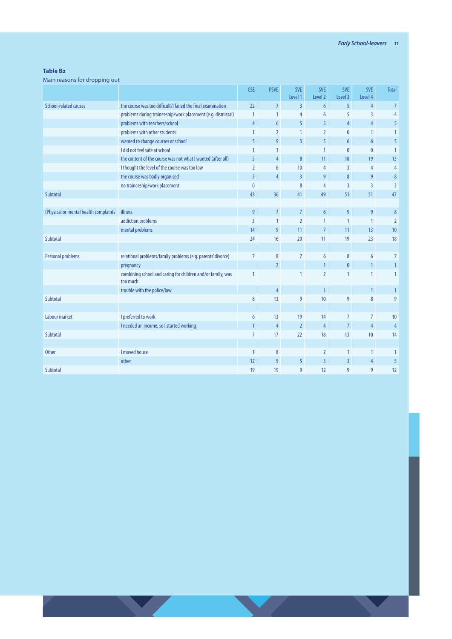#### **Table B2**

Main reasons for dropping out

|                                       |                                                                         | <b>GSE</b>     | <b>PSVE</b>     | <b>SVE</b><br>Level 1 | <b>SVE</b><br>Level 2 | <b>SVE</b><br>Level 3 | <b>SVE</b><br>Level 4 | <b>Total</b>   |
|---------------------------------------|-------------------------------------------------------------------------|----------------|-----------------|-----------------------|-----------------------|-----------------------|-----------------------|----------------|
| School-related causes                 | the course was too difficult/I failed the final examination             | 22             | $\overline{7}$  | $\overline{3}$        | 6                     | 5                     | $\overline{4}$        | $\overline{7}$ |
|                                       | problems during traineeship/work placement (e.g. dismissal)             | $\mathbf{1}$   | $\mathbf{1}$    | 4                     | 6                     | 5                     | $\overline{3}$        | $\overline{4}$ |
|                                       | problems with teachers/school                                           | $\overline{4}$ | $6\overline{6}$ | 5                     | 5                     | $\overline{4}$        | 4                     | 5              |
|                                       | problems with other students                                            | $\mathbf{1}$   | $\overline{2}$  | 1                     | $\overline{2}$        | $\mathbf{0}$          | $\mathbf{1}$          | 1              |
|                                       | wanted to change courses or school                                      | 5              | 9               | $\overline{3}$        | 5                     | 6                     | $6\overline{6}$       | 5              |
|                                       | I did not feel safe at school                                           | $\mathbf{1}$   | $\overline{3}$  |                       | $\mathbf{1}$          | $\bf{0}$              | $\mathbf{0}$          | $\mathbf{1}$   |
|                                       | the content of the course was not what I wanted (after all)             | 5              | $\overline{4}$  | $8\phantom{.}$        | 11                    | 18                    | 19                    | 13             |
|                                       | I thought the level of the course was too low                           | $\overline{2}$ | 6               | 10                    | 4                     | $\overline{3}$        | 4                     | $\overline{4}$ |
|                                       | the course was badly organised                                          | 5              | $\overline{4}$  | $\overline{3}$        | 9                     | 8                     | 9                     | 8              |
|                                       | no traineeship/work placement                                           | $\mathbf{0}$   |                 | 8                     | $\overline{4}$        | $\overline{3}$        | $\overline{3}$        | $\overline{3}$ |
| Subtotal                              |                                                                         | 43             | 36              | 41                    | 49                    | 51                    | 51                    | 47             |
|                                       |                                                                         |                |                 |                       |                       |                       |                       |                |
| (Physical or mental health complaints | illness                                                                 | $\overline{9}$ | $\overline{7}$  | $\overline{7}$        | $6\phantom{.}6$       | $\overline{9}$        | 9                     | 8              |
|                                       | addiction problems                                                      | $\overline{3}$ | $\mathbf{1}$    | $\overline{2}$        | 1                     | $\mathbf{1}$          | $\mathbf{1}$          | $\overline{2}$ |
|                                       | mental problems                                                         | 14             | 9               | 11                    | $\overline{7}$        | 11                    | 13                    | 10             |
| Subtotal                              |                                                                         | 24             | 16              | 20                    | 11                    | 19                    | 23                    | 18             |
|                                       |                                                                         |                |                 |                       |                       |                       |                       |                |
| <b>Personal problems</b>              | relational problems/family problems (e.g. parents' divorce)             | $\overline{7}$ | 8               | $\overline{7}$        | 6                     | 8                     | 6                     | $\overline{7}$ |
|                                       | pregnancy                                                               |                | $\overline{2}$  |                       | $\mathbf{1}$          | $\pmb{0}$             | $\mathbf{1}$          |                |
|                                       | combining school and caring for children and/or family, was<br>too much | $\mathbf{1}$   |                 | 1                     | $\overline{2}$        | $\mathbf{1}$          | $\mathbf{1}$          |                |
|                                       | trouble with the police/law                                             |                | $\overline{4}$  |                       | $\mathbf{1}$          |                       | $\mathbf{1}$          |                |
| Subtotal                              |                                                                         | 8              | 13              | 9                     | 10                    | 9                     | 8                     | $\overline{9}$ |
|                                       |                                                                         |                |                 |                       |                       |                       |                       |                |
| <b>Labour market</b>                  | I preferred to work                                                     | 6              | 13              | 19                    | 14                    | $\overline{7}$        | $7\overline{ }$       | 10             |
|                                       | I needed an income, so I started working                                | $\mathbf{1}$   | $\overline{4}$  | $\overline{2}$        | 4                     | $\overline{7}$        | $\overline{4}$        | $\overline{4}$ |
| Subtotal                              |                                                                         | $\overline{7}$ | 17              | 22                    | 18                    | 13                    | 10                    | 14             |
|                                       |                                                                         |                |                 |                       |                       |                       |                       |                |
| <b>Other</b>                          | I moved house                                                           | 1              | 8               |                       | $\overline{2}$        | $\mathbf{1}$          | 1                     |                |
|                                       | other                                                                   | 12             | 5               | 5                     | $\overline{3}$        | 3                     | $\overline{4}$        | 5              |
| Subtotal                              |                                                                         | 19             | 19              | 9                     | 12                    | 9                     | 9                     | 12             |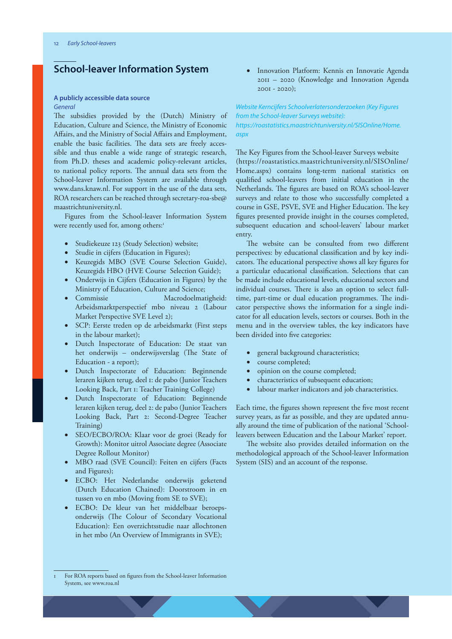## **School-leaver Information System**

#### **A publicly accessible data source** *General*

The subsidies provided by the (Dutch) Ministry of Education, Culture and Science, the Ministry of Economic Affairs, and the Ministry of Social Affairs and Employment, enable the basic facilities. The data sets are freely accessible and thus enable a wide range of strategic research, from Ph.D. theses and academic policy-relevant articles, to national policy reports. The annual data sets from the School-leaver Information System are available through www.dans.knaw.nl. For support in the use of the data sets, ROA researchers can be reached through secretary-roa-sbe@ maastrichtuniversity.nl.

Figures from the School-leaver Information System were recently used for, among others:<sup>1</sup>

- Studiekeuze 123 (Study Selection) website;
- Studie in cijfers (Education in Figures);
- Keuzegids MBO (SVE Course Selection Guide), Keuzegids HBO (HVE Course Selection Guide);
- Onderwijs in Cijfers (Education in Figures) by the Ministry of Education, Culture and Science;
- Commissie Macrodoelmatigheid: Arbeidsmarktperspectief mbo niveau 2 (Labour Market Perspective SVE Level 2);
- SCP: Eerste treden op de arbeidsmarkt (First steps in the labour market);
- Dutch Inspectorate of Education: De staat van het onderwijs – onderwijsverslag (The State of Education - a report);
- Dutch Inspectorate of Education: Beginnende leraren kijken terug, deel 1: de pabo (Junior Teachers Looking Back, Part 1: Teacher Training College)
- Dutch Inspectorate of Education: Beginnende leraren kijken terug, deel 2: de pabo (Junior Teachers Looking Back, Part 2: Second-Degree Teacher Training)
- SEO/ECBO/ROA: Klaar voor de groei (Ready for Growth): Monitor uitrol Associate degree (Associate Degree Rollout Monitor)
- MBO raad (SVE Council): Feiten en cijfers (Facts and Figures);
- ECBO: Het Nederlandse onderwijs geketend (Dutch Education Chained): Doorstroom in en tussen vo en mbo (Moving from SE to SVE);
- ECBO: De kleur van het middelbaar beroepsonderwijs (The Colour of Secondary Vocational Education): Een overzichtsstudie naar allochtonen in het mbo (An Overview of Immigrants in SVE);

• Innovation Platform: Kennis en Innovatie Agenda 2011 – 2020 (Knowledge and Innovation Agenda 2001 - 2020);

*Website Kerncijfers Schoolverlatersonderzoeken (Key Figures from the School-leaver Surveys website): https://roastatistics.maastrichtuniversity.nl/SISOnline/Home. aspx*

The Key Figures from the School-leaver Surveys website (https://roastatistics.maastrichtuniversity.nl/SISOnline/ Home.aspx) contains long-term national statistics on qualified school-leavers from initial education in the Netherlands. The figures are based on ROA's school-leaver surveys and relate to those who successfully completed a course in GSE, PSVE, SVE and Higher Education. The key figures presented provide insight in the courses completed, subsequent education and school-leavers' labour market entry.

The website can be consulted from two different perspectives: by educational classification and by key indicators. The educational perspective shows all key figures for a particular educational classification. Selections that can be made include educational levels, educational sectors and individual courses. There is also an option to select fulltime, part-time or dual education programmes. The indicator perspective shows the information for a single indicator for all education levels, sectors or courses. Both in the menu and in the overview tables, the key indicators have been divided into five categories:

- general background characteristics;
- course completed;
- opinion on the course completed;
- characteristics of subsequent education;
- labour marker indicators and job characteristics.

Each time, the figures shown represent the five most recent survey years, as far as possible, and they are updated annually around the time of publication of the national 'Schoolleavers between Education and the Labour Market' report.

The website also provides detailed information on the methodological approach of the School-leaver Information System (SIS) and an account of the response.

For ROA reports based on figures from the School-leaver Information System, see www.roa.nl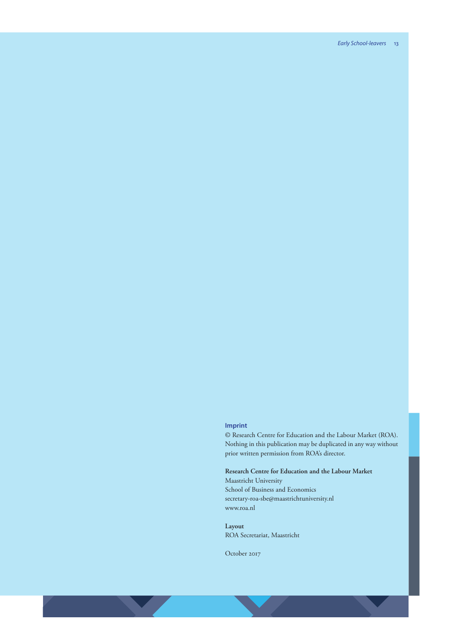#### **Imprint**

© Research Centre for Education and the Labour Market (ROA). Nothing in this publication may be duplicated in any way without prior written permission from ROA's director.

**Research Centre for Education and the Labour Market** Maastricht University School of Business and Economics secretary-roa-sbe@maastrichtuniversity.nl www.roa.nl

**Layout** ROA Secretariat, Maastricht

October 2017